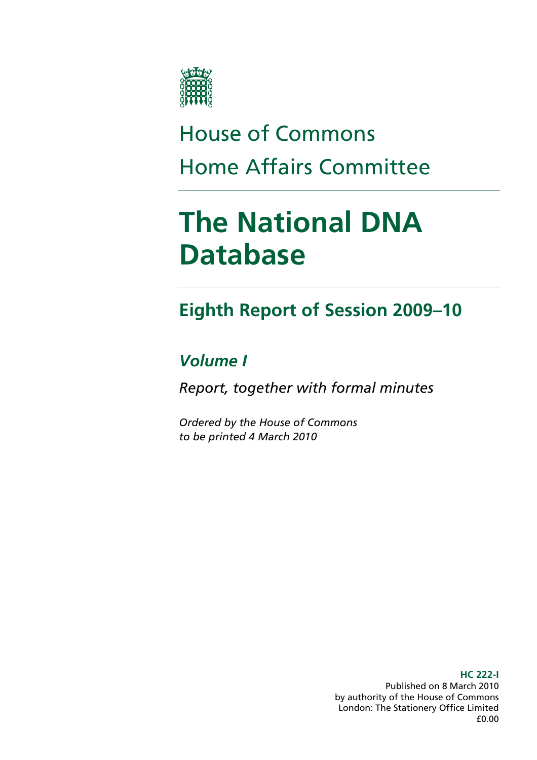

# House of Commons Home Affairs Committee

# **The National DNA Database**

# **Eighth Report of Session 2009–10**

### *Volume I*

*Report, together with formal minutes* 

*Ordered by the House of Commons to be printed 4 March 2010* 

> **HC 222-I**  Published on 8 March 2010 by authority of the House of Commons London: The Stationery Office Limited £0.00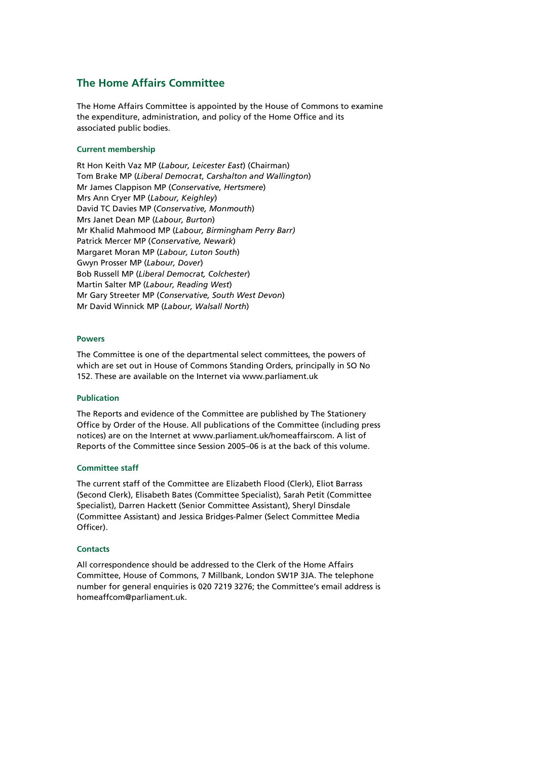#### **The Home Affairs Committee**

The Home Affairs Committee is appointed by the House of Commons to examine the expenditure, administration, and policy of the Home Office and its associated public bodies.

#### **Current membership**

Rt Hon Keith Vaz MP (*Labour, Leicester East*) (Chairman) Tom Brake MP (*Liberal Democrat*, *Carshalton and Wallington*) Mr James Clappison MP (*Conservative, Hertsmere*) Mrs Ann Cryer MP (*Labour, Keighley*) David TC Davies MP (*Conservative, Monmouth*) Mrs Janet Dean MP (*Labour, Burton*) Mr Khalid Mahmood MP (*Labour, Birmingham Perry Barr)*  Patrick Mercer MP (*Conservative, Newark*) Margaret Moran MP (*Labour, Luton South*) Gwyn Prosser MP (*Labour, Dover*) Bob Russell MP (*Liberal Democrat, Colchester*) Martin Salter MP (*Labour, Reading West*) Mr Gary Streeter MP (*Conservative, South West Devon*) Mr David Winnick MP (*Labour, Walsall North*)

#### **Powers**

The Committee is one of the departmental select committees, the powers of which are set out in House of Commons Standing Orders, principally in SO No 152. These are available on the Internet via www.parliament.uk

#### **Publication**

The Reports and evidence of the Committee are published by The Stationery Office by Order of the House. All publications of the Committee (including press notices) are on the Internet at www.parliament.uk/homeaffairscom. A list of Reports of the Committee since Session 2005–06 is at the back of this volume.

#### **Committee staff**

The current staff of the Committee are Elizabeth Flood (Clerk), Eliot Barrass (Second Clerk), Elisabeth Bates (Committee Specialist), Sarah Petit (Committee Specialist), Darren Hackett (Senior Committee Assistant), Sheryl Dinsdale (Committee Assistant) and Jessica Bridges-Palmer (Select Committee Media Officer).

#### **Contacts**

All correspondence should be addressed to the Clerk of the Home Affairs Committee, House of Commons, 7 Millbank, London SW1P 3JA. The telephone number for general enquiries is 020 7219 3276; the Committee's email address is homeaffcom@parliament.uk.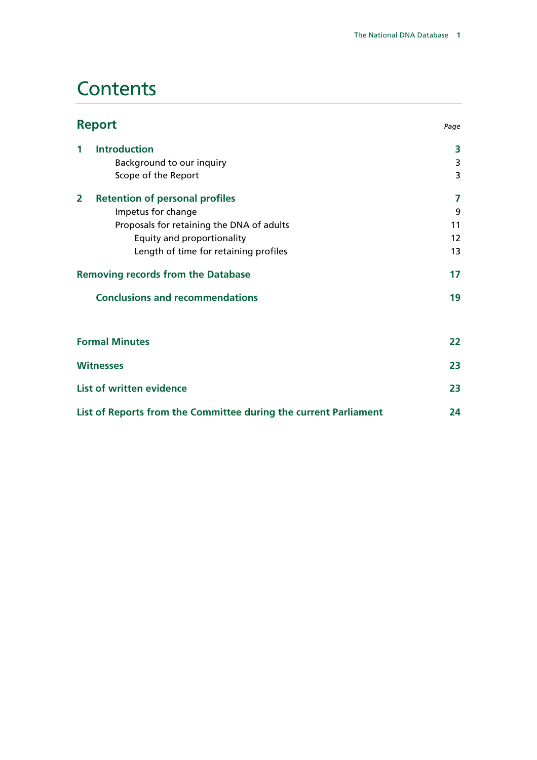### **Contents**

| <b>Report</b>                             |                                                                  | Page |
|-------------------------------------------|------------------------------------------------------------------|------|
| 1                                         | <b>Introduction</b>                                              | 3    |
|                                           | Background to our inquiry                                        | 3    |
|                                           | Scope of the Report                                              | 3    |
| $\overline{2}$                            | <b>Retention of personal profiles</b>                            | 7    |
|                                           | Impetus for change                                               | 9    |
|                                           | Proposals for retaining the DNA of adults                        | 11   |
|                                           | Equity and proportionality                                       | 12   |
|                                           | Length of time for retaining profiles                            | 13   |
| <b>Removing records from the Database</b> |                                                                  | 17   |
|                                           | <b>Conclusions and recommendations</b>                           | 19   |
|                                           | <b>Formal Minutes</b>                                            | 22   |
|                                           | <b>Witnesses</b>                                                 | 23   |
|                                           | <b>List of written evidence</b>                                  | 23   |
|                                           | List of Reports from the Committee during the current Parliament | 24   |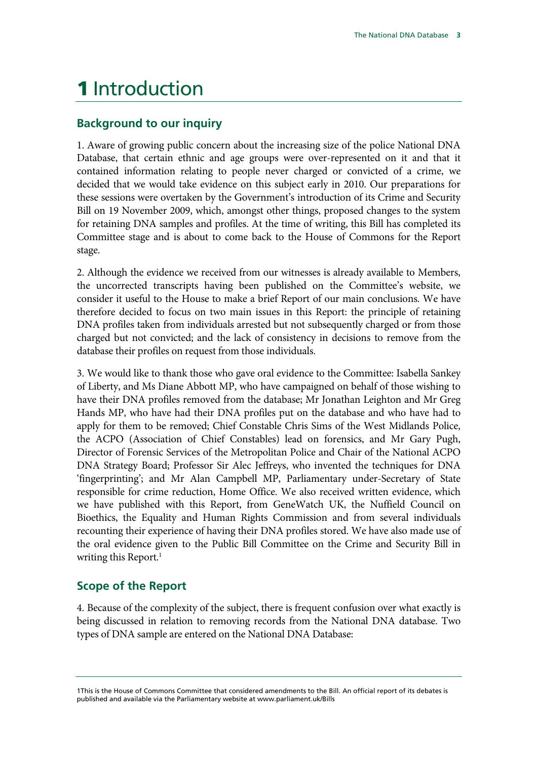# 1 Introduction

#### **Background to our inquiry**

1. Aware of growing public concern about the increasing size of the police National DNA Database, that certain ethnic and age groups were over-represented on it and that it contained information relating to people never charged or convicted of a crime, we decided that we would take evidence on this subject early in 2010. Our preparations for these sessions were overtaken by the Government's introduction of its Crime and Security Bill on 19 November 2009, which, amongst other things, proposed changes to the system for retaining DNA samples and profiles. At the time of writing, this Bill has completed its Committee stage and is about to come back to the House of Commons for the Report stage.

2. Although the evidence we received from our witnesses is already available to Members, the uncorrected transcripts having been published on the Committee's website, we consider it useful to the House to make a brief Report of our main conclusions. We have therefore decided to focus on two main issues in this Report: the principle of retaining DNA profiles taken from individuals arrested but not subsequently charged or from those charged but not convicted; and the lack of consistency in decisions to remove from the database their profiles on request from those individuals.

3. We would like to thank those who gave oral evidence to the Committee: Isabella Sankey of Liberty, and Ms Diane Abbott MP, who have campaigned on behalf of those wishing to have their DNA profiles removed from the database; Mr Jonathan Leighton and Mr Greg Hands MP, who have had their DNA profiles put on the database and who have had to apply for them to be removed; Chief Constable Chris Sims of the West Midlands Police, the ACPO (Association of Chief Constables) lead on forensics, and Mr Gary Pugh, Director of Forensic Services of the Metropolitan Police and Chair of the National ACPO DNA Strategy Board; Professor Sir Alec Jeffreys, who invented the techniques for DNA 'fingerprinting'; and Mr Alan Campbell MP, Parliamentary under-Secretary of State responsible for crime reduction, Home Office. We also received written evidence, which we have published with this Report, from GeneWatch UK, the Nuffield Council on Bioethics, the Equality and Human Rights Commission and from several individuals recounting their experience of having their DNA profiles stored. We have also made use of the oral evidence given to the Public Bill Committee on the Crime and Security Bill in writing this Report.<sup>1</sup>

### **Scope of the Report**

4. Because of the complexity of the subject, there is frequent confusion over what exactly is being discussed in relation to removing records from the National DNA database. Two types of DNA sample are entered on the National DNA Database:

<sup>1</sup>This is the House of Commons Committee that considered amendments to the Bill. An official report of its debates is published and available via the Parliamentary website at www.parliament.uk/Bills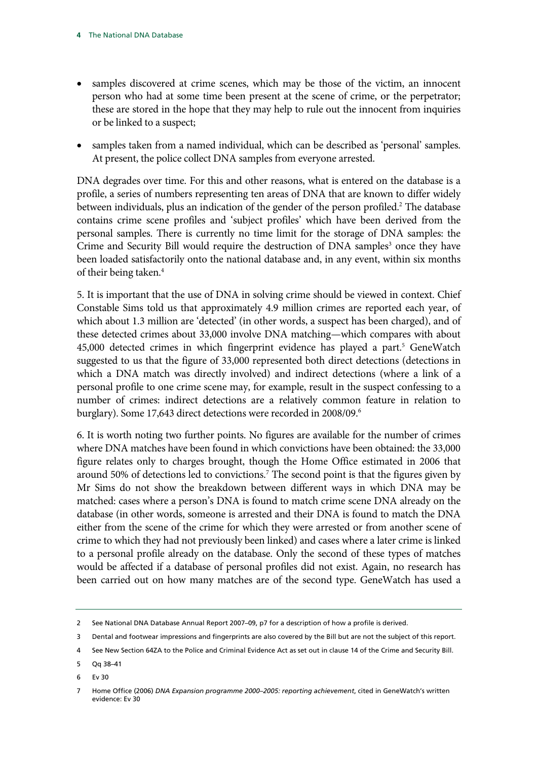- samples discovered at crime scenes, which may be those of the victim, an innocent person who had at some time been present at the scene of crime, or the perpetrator; these are stored in the hope that they may help to rule out the innocent from inquiries or be linked to a suspect;
- samples taken from a named individual, which can be described as 'personal' samples. At present, the police collect DNA samples from everyone arrested.

DNA degrades over time. For this and other reasons, what is entered on the database is a profile, a series of numbers representing ten areas of DNA that are known to differ widely between individuals, plus an indication of the gender of the person profiled.<sup>2</sup> The database contains crime scene profiles and 'subject profiles' which have been derived from the personal samples. There is currently no time limit for the storage of DNA samples: the Crime and Security Bill would require the destruction of DNA samples<sup>3</sup> once they have been loaded satisfactorily onto the national database and, in any event, within six months of their being taken.<sup>4</sup>

5. It is important that the use of DNA in solving crime should be viewed in context. Chief Constable Sims told us that approximately 4.9 million crimes are reported each year, of which about 1.3 million are 'detected' (in other words, a suspect has been charged), and of these detected crimes about 33,000 involve DNA matching—which compares with about 45,000 detected crimes in which fingerprint evidence has played a part.<sup>5</sup> GeneWatch suggested to us that the figure of 33,000 represented both direct detections (detections in which a DNA match was directly involved) and indirect detections (where a link of a personal profile to one crime scene may, for example, result in the suspect confessing to a number of crimes: indirect detections are a relatively common feature in relation to burglary). Some 17,643 direct detections were recorded in 2008/09.<sup>6</sup>

6. It is worth noting two further points. No figures are available for the number of crimes where DNA matches have been found in which convictions have been obtained: the 33,000 figure relates only to charges brought, though the Home Office estimated in 2006 that around 50% of detections led to convictions.<sup>7</sup> The second point is that the figures given by Mr Sims do not show the breakdown between different ways in which DNA may be matched: cases where a person's DNA is found to match crime scene DNA already on the database (in other words, someone is arrested and their DNA is found to match the DNA either from the scene of the crime for which they were arrested or from another scene of crime to which they had not previously been linked) and cases where a later crime is linked to a personal profile already on the database. Only the second of these types of matches would be affected if a database of personal profiles did not exist. Again, no research has been carried out on how many matches are of the second type. GeneWatch has used a

6 Ev 30

<sup>2</sup> See National DNA Database Annual Report 2007–09, p7 for a description of how a profile is derived.

<sup>3</sup> Dental and footwear impressions and fingerprints are also covered by the Bill but are not the subject of this report.

<sup>4</sup> See New Section 64ZA to the Police and Criminal Evidence Act as set out in clause 14 of the Crime and Security Bill.

<sup>5</sup> Qq 38–41

<sup>7</sup> Home Office (2006) *DNA Expansion programme 2000–2005: reporting achievement*, cited in GeneWatch's written evidence: Ev 30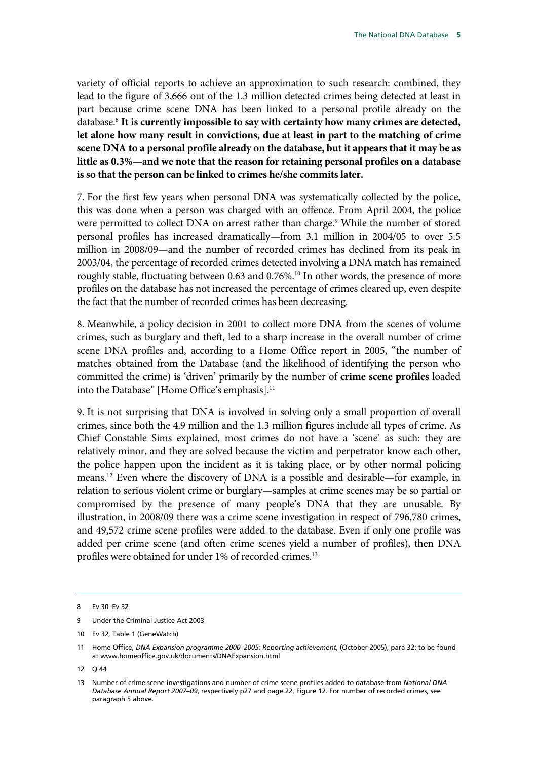variety of official reports to achieve an approximation to such research: combined, they lead to the figure of 3,666 out of the 1.3 million detected crimes being detected at least in part because crime scene DNA has been linked to a personal profile already on the database.<sup>8</sup> It is currently impossible to say with certainty how many crimes are detected, **let alone how many result in convictions, due at least in part to the matching of crime scene DNA to a personal profile already on the database, but it appears that it may be as little as 0.3%—and we note that the reason for retaining personal profiles on a database is so that the person can be linked to crimes he/she commits later.**

7. For the first few years when personal DNA was systematically collected by the police, this was done when a person was charged with an offence. From April 2004, the police were permitted to collect DNA on arrest rather than charge.<sup>9</sup> While the number of stored personal profiles has increased dramatically—from 3.1 million in 2004/05 to over 5.5 million in 2008/09—and the number of recorded crimes has declined from its peak in 2003/04, the percentage of recorded crimes detected involving a DNA match has remained roughly stable, fluctuating between 0.63 and 0.76%.<sup>10</sup> In other words, the presence of more profiles on the database has not increased the percentage of crimes cleared up, even despite the fact that the number of recorded crimes has been decreasing.

8. Meanwhile, a policy decision in 2001 to collect more DNA from the scenes of volume crimes, such as burglary and theft, led to a sharp increase in the overall number of crime scene DNA profiles and, according to a Home Office report in 2005, "the number of matches obtained from the Database (and the likelihood of identifying the person who committed the crime) is 'driven' primarily by the number of **crime scene profiles** loaded into the Database" [Home Office's emphasis].<sup>11</sup>

9. It is not surprising that DNA is involved in solving only a small proportion of overall crimes, since both the 4.9 million and the 1.3 million figures include all types of crime. As Chief Constable Sims explained, most crimes do not have a 'scene' as such: they are relatively minor, and they are solved because the victim and perpetrator know each other, the police happen upon the incident as it is taking place, or by other normal policing means.12 Even where the discovery of DNA is a possible and desirable—for example, in relation to serious violent crime or burglary—samples at crime scenes may be so partial or compromised by the presence of many people's DNA that they are unusable. By illustration, in 2008/09 there was a crime scene investigation in respect of 796,780 crimes, and 49,572 crime scene profiles were added to the database. Even if only one profile was added per crime scene (and often crime scenes yield a number of profiles), then DNA profiles were obtained for under 1% of recorded crimes.<sup>13</sup>

<sup>8</sup> Ev 30–Ev 32

<sup>9</sup> Under the Criminal Justice Act 2003

<sup>10</sup> Ev 32, Table 1 (GeneWatch)

<sup>11</sup> Home Office, *DNA Expansion programme 2000–2005: Reporting achievement*, (October 2005), para 32: to be found at www.homeoffice.gov.uk/documents/DNAExpansion.html

 $12 \quad \Omega$  44

<sup>13</sup> Number of crime scene investigations and number of crime scene profiles added to database from *National DNA Database Annual Report 2007–09*, respectively p27 and page 22, Figure 12. For number of recorded crimes, see paragraph 5 above.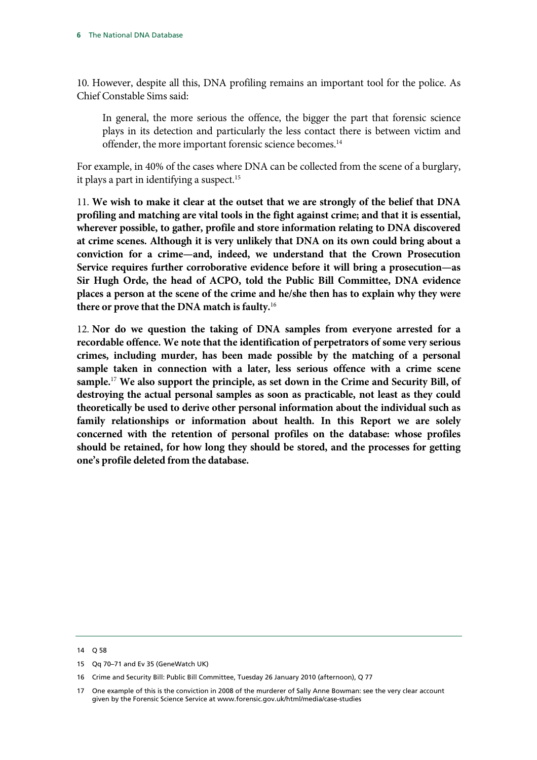10. However, despite all this, DNA profiling remains an important tool for the police. As Chief Constable Sims said:

In general, the more serious the offence, the bigger the part that forensic science plays in its detection and particularly the less contact there is between victim and offender, the more important forensic science becomes.<sup>14</sup>

For example, in 40% of the cases where DNA can be collected from the scene of a burglary, it plays a part in identifying a suspect.<sup>15</sup>

11. **We wish to make it clear at the outset that we are strongly of the belief that DNA profiling and matching are vital tools in the fight against crime; and that it is essential, wherever possible, to gather, profile and store information relating to DNA discovered at crime scenes. Although it is very unlikely that DNA on its own could bring about a conviction for a crime—and, indeed, we understand that the Crown Prosecution Service requires further corroborative evidence before it will bring a prosecution—as Sir Hugh Orde, the head of ACPO, told the Public Bill Committee, DNA evidence places a person at the scene of the crime and he/she then has to explain why they were there or prove that the DNA match is faulty.**<sup>16</sup>

12. **Nor do we question the taking of DNA samples from everyone arrested for a recordable offence. We note that the identification of perpetrators of some very serious crimes, including murder, has been made possible by the matching of a personal sample taken in connection with a later, less serious offence with a crime scene sample.**<sup>17</sup> **We also support the principle, as set down in the Crime and Security Bill, of destroying the actual personal samples as soon as practicable, not least as they could theoretically be used to derive other personal information about the individual such as family relationships or information about health. In this Report we are solely concerned with the retention of personal profiles on the database: whose profiles should be retained, for how long they should be stored, and the processes for getting one's profile deleted from the database.**

<sup>14</sup> Q 58

<sup>15</sup> Og 70–71 and Ev 35 (GeneWatch UK)

<sup>16</sup> Crime and Security Bill: Public Bill Committee, Tuesday 26 January 2010 (afternoon), Q 77

<sup>17</sup> One example of this is the conviction in 2008 of the murderer of Sally Anne Bowman: see the very clear account given by the Forensic Science Service at www.forensic.gov.uk/html/media/case-studies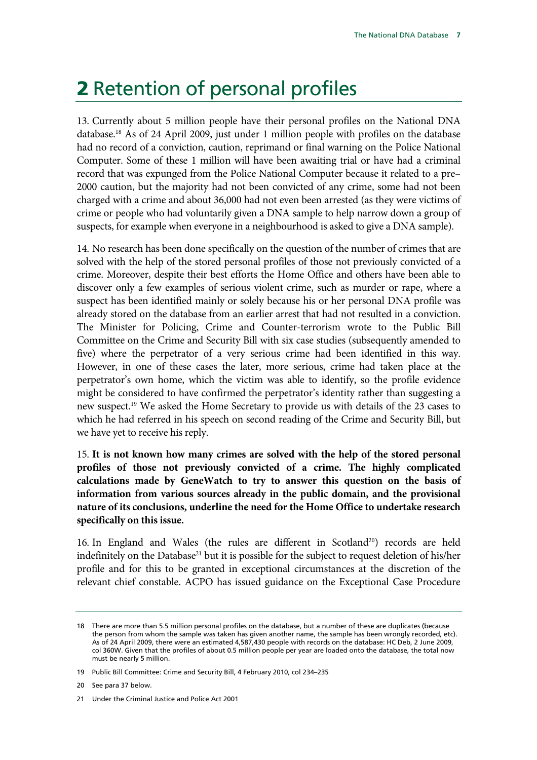# 2 Retention of personal profiles

13. Currently about 5 million people have their personal profiles on the National DNA database.18 As of 24 April 2009, just under 1 million people with profiles on the database had no record of a conviction, caution, reprimand or final warning on the Police National Computer. Some of these 1 million will have been awaiting trial or have had a criminal record that was expunged from the Police National Computer because it related to a pre– 2000 caution, but the majority had not been convicted of any crime, some had not been charged with a crime and about 36,000 had not even been arrested (as they were victims of crime or people who had voluntarily given a DNA sample to help narrow down a group of suspects, for example when everyone in a neighbourhood is asked to give a DNA sample).

14. No research has been done specifically on the question of the number of crimes that are solved with the help of the stored personal profiles of those not previously convicted of a crime. Moreover, despite their best efforts the Home Office and others have been able to discover only a few examples of serious violent crime, such as murder or rape, where a suspect has been identified mainly or solely because his or her personal DNA profile was already stored on the database from an earlier arrest that had not resulted in a conviction. The Minister for Policing, Crime and Counter-terrorism wrote to the Public Bill Committee on the Crime and Security Bill with six case studies (subsequently amended to five) where the perpetrator of a very serious crime had been identified in this way. However, in one of these cases the later, more serious, crime had taken place at the perpetrator's own home, which the victim was able to identify, so the profile evidence might be considered to have confirmed the perpetrator's identity rather than suggesting a new suspect.19 We asked the Home Secretary to provide us with details of the 23 cases to which he had referred in his speech on second reading of the Crime and Security Bill, but we have yet to receive his reply.

15. **It is not known how many crimes are solved with the help of the stored personal profiles of those not previously convicted of a crime. The highly complicated calculations made by GeneWatch to try to answer this question on the basis of information from various sources already in the public domain, and the provisional nature of its conclusions, underline the need for the Home Office to undertake research specifically on this issue.**

16. In England and Wales (the rules are different in Scotland<sup>20</sup>) records are held indefinitely on the Database<sup>21</sup> but it is possible for the subject to request deletion of his/her profile and for this to be granted in exceptional circumstances at the discretion of the relevant chief constable. ACPO has issued guidance on the Exceptional Case Procedure

<sup>18</sup> There are more than 5.5 million personal profiles on the database, but a number of these are duplicates (because the person from whom the sample was taken has given another name, the sample has been wrongly recorded, etc). As of 24 April 2009, there were an estimated 4,587,430 people with records on the database: HC Deb, 2 June 2009, col 360W. Given that the profiles of about 0.5 million people per year are loaded onto the database, the total now must be nearly 5 million.

<sup>19</sup> Public Bill Committee: Crime and Security Bill, 4 February 2010, col 234–235

<sup>20</sup> See para 37 below.

<sup>21</sup> Under the Criminal Justice and Police Act 2001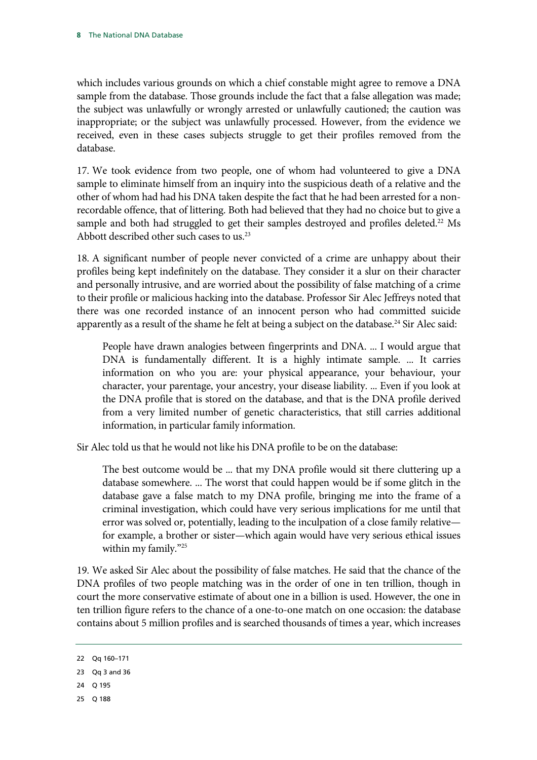which includes various grounds on which a chief constable might agree to remove a DNA sample from the database. Those grounds include the fact that a false allegation was made; the subject was unlawfully or wrongly arrested or unlawfully cautioned; the caution was inappropriate; or the subject was unlawfully processed. However, from the evidence we received, even in these cases subjects struggle to get their profiles removed from the database.

17. We took evidence from two people, one of whom had volunteered to give a DNA sample to eliminate himself from an inquiry into the suspicious death of a relative and the other of whom had had his DNA taken despite the fact that he had been arrested for a nonrecordable offence, that of littering. Both had believed that they had no choice but to give a sample and both had struggled to get their samples destroyed and profiles deleted.<sup>22</sup> Ms Abbott described other such cases to us.<sup>23</sup>

18. A significant number of people never convicted of a crime are unhappy about their profiles being kept indefinitely on the database. They consider it a slur on their character and personally intrusive, and are worried about the possibility of false matching of a crime to their profile or malicious hacking into the database. Professor Sir Alec Jeffreys noted that there was one recorded instance of an innocent person who had committed suicide apparently as a result of the shame he felt at being a subject on the database.<sup>24</sup> Sir Alec said:

People have drawn analogies between fingerprints and DNA. ... I would argue that DNA is fundamentally different. It is a highly intimate sample. ... It carries information on who you are: your physical appearance, your behaviour, your character, your parentage, your ancestry, your disease liability. ... Even if you look at the DNA profile that is stored on the database, and that is the DNA profile derived from a very limited number of genetic characteristics, that still carries additional information, in particular family information.

Sir Alec told us that he would not like his DNA profile to be on the database:

The best outcome would be ... that my DNA profile would sit there cluttering up a database somewhere. ... The worst that could happen would be if some glitch in the database gave a false match to my DNA profile, bringing me into the frame of a criminal investigation, which could have very serious implications for me until that error was solved or, potentially, leading to the inculpation of a close family relative for example, a brother or sister—which again would have very serious ethical issues within my family."25

19. We asked Sir Alec about the possibility of false matches. He said that the chance of the DNA profiles of two people matching was in the order of one in ten trillion, though in court the more conservative estimate of about one in a billion is used. However, the one in ten trillion figure refers to the chance of a one-to-one match on one occasion: the database contains about 5 million profiles and is searched thousands of times a year, which increases

- 24 Q 195
- 25 Q 188

<sup>22</sup> Qq 160–171

<sup>23</sup> Qq 3 and 36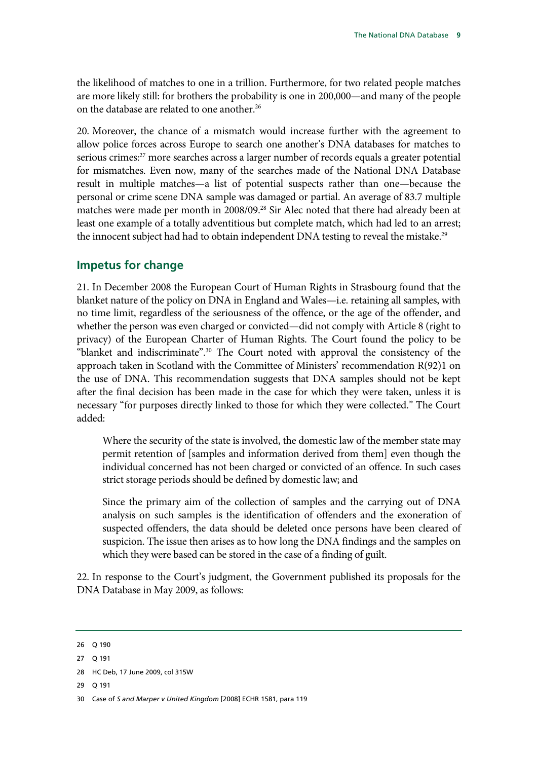the likelihood of matches to one in a trillion. Furthermore, for two related people matches are more likely still: for brothers the probability is one in 200,000—and many of the people on the database are related to one another.<sup>26</sup>

20. Moreover, the chance of a mismatch would increase further with the agreement to allow police forces across Europe to search one another's DNA databases for matches to serious crimes:<sup>27</sup> more searches across a larger number of records equals a greater potential for mismatches. Even now, many of the searches made of the National DNA Database result in multiple matches—a list of potential suspects rather than one—because the personal or crime scene DNA sample was damaged or partial. An average of 83.7 multiple matches were made per month in 2008/09.<sup>28</sup> Sir Alec noted that there had already been at least one example of a totally adventitious but complete match, which had led to an arrest; the innocent subject had had to obtain independent DNA testing to reveal the mistake.<sup>29</sup>

#### **Impetus for change**

21. In December 2008 the European Court of Human Rights in Strasbourg found that the blanket nature of the policy on DNA in England and Wales—i.e. retaining all samples, with no time limit, regardless of the seriousness of the offence, or the age of the offender, and whether the person was even charged or convicted—did not comply with Article 8 (right to privacy) of the European Charter of Human Rights. The Court found the policy to be "blanket and indiscriminate".30 The Court noted with approval the consistency of the approach taken in Scotland with the Committee of Ministers' recommendation R(92)1 on the use of DNA. This recommendation suggests that DNA samples should not be kept after the final decision has been made in the case for which they were taken, unless it is necessary "for purposes directly linked to those for which they were collected." The Court added:

Where the security of the state is involved, the domestic law of the member state may permit retention of [samples and information derived from them] even though the individual concerned has not been charged or convicted of an offence. In such cases strict storage periods should be defined by domestic law; and

Since the primary aim of the collection of samples and the carrying out of DNA analysis on such samples is the identification of offenders and the exoneration of suspected offenders, the data should be deleted once persons have been cleared of suspicion. The issue then arises as to how long the DNA findings and the samples on which they were based can be stored in the case of a finding of guilt.

22. In response to the Court's judgment, the Government published its proposals for the DNA Database in May 2009, as follows:

29 Q 191

<sup>26</sup> Q 190

<sup>27</sup> Q 191

<sup>28</sup> HC Deb, 17 June 2009, col 315W

<sup>30</sup> Case of *S and Marper v United Kingdom* [2008] ECHR 1581, para 119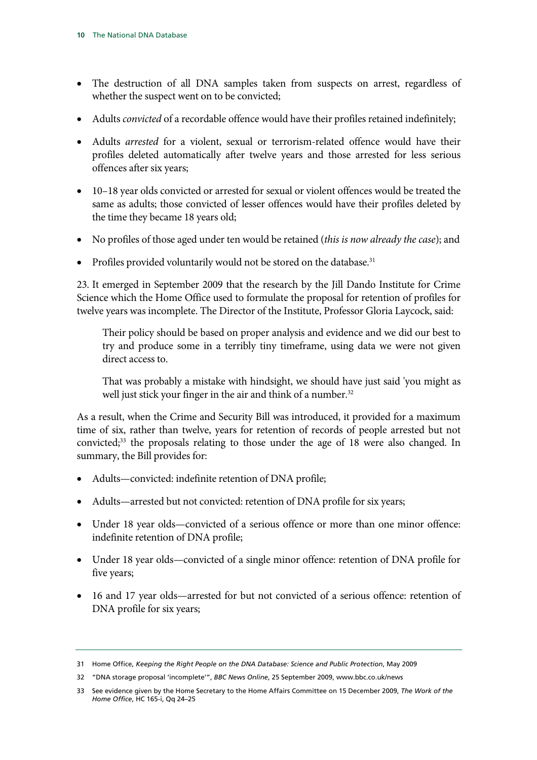- The destruction of all DNA samples taken from suspects on arrest, regardless of whether the suspect went on to be convicted;
- Adults *convicted* of a recordable offence would have their profiles retained indefinitely;
- Adults *arrested* for a violent, sexual or terrorism-related offence would have their profiles deleted automatically after twelve years and those arrested for less serious offences after six years;
- 10–18 year olds convicted or arrested for sexual or violent offences would be treated the same as adults; those convicted of lesser offences would have their profiles deleted by the time they became 18 years old;
- No profiles of those aged under ten would be retained (*this is now already the case*); and
- Profiles provided voluntarily would not be stored on the database.<sup>31</sup>

23. It emerged in September 2009 that the research by the Jill Dando Institute for Crime Science which the Home Office used to formulate the proposal for retention of profiles for twelve years was incomplete. The Director of the Institute, Professor Gloria Laycock, said:

Their policy should be based on proper analysis and evidence and we did our best to try and produce some in a terribly tiny timeframe, using data we were not given direct access to.

That was probably a mistake with hindsight, we should have just said 'you might as well just stick your finger in the air and think of a number.<sup>32</sup>

As a result, when the Crime and Security Bill was introduced, it provided for a maximum time of six, rather than twelve, years for retention of records of people arrested but not convicted;<sup>33</sup> the proposals relating to those under the age of 18 were also changed. In summary, the Bill provides for:

- Adults—convicted: indefinite retention of DNA profile;
- Adults—arrested but not convicted: retention of DNA profile for six years;
- Under 18 year olds—convicted of a serious offence or more than one minor offence: indefinite retention of DNA profile;
- Under 18 year olds—convicted of a single minor offence: retention of DNA profile for five years;
- 16 and 17 year olds—arrested for but not convicted of a serious offence: retention of DNA profile for six years;

<sup>31</sup> Home Office, *Keeping the Right People on the DNA Database: Science and Public Protection*, May 2009

<sup>32 &</sup>quot;DNA storage proposal 'incomplete'", *BBC News Online*, 25 September 2009, www.bbc.co.uk/news

<sup>33</sup> See evidence given by the Home Secretary to the Home Affairs Committee on 15 December 2009, *The Work of the Home Office*, HC 165-i, Qq 24–25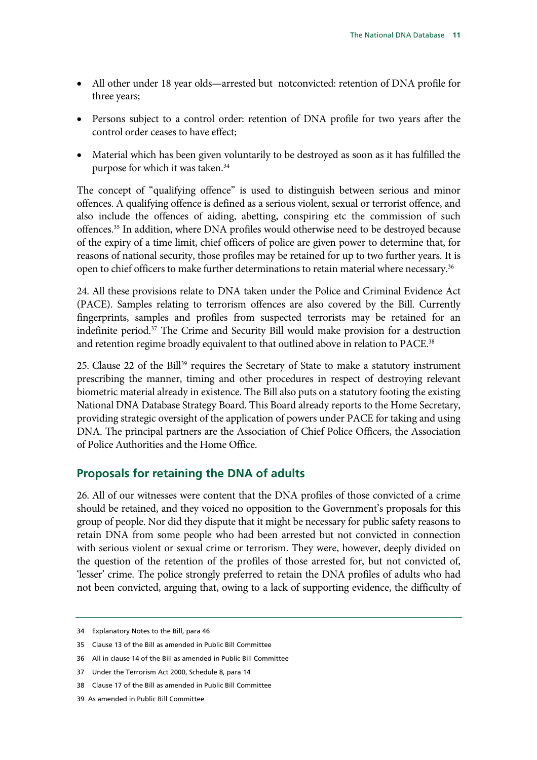- All other under 18 year olds—arrested but notconvicted: retention of DNA profile for three years;
- Persons subject to a control order: retention of DNA profile for two years after the control order ceases to have effect;
- Material which has been given voluntarily to be destroyed as soon as it has fulfilled the purpose for which it was taken.<sup>34</sup>

The concept of "qualifying offence" is used to distinguish between serious and minor offences. A qualifying offence is defined as a serious violent, sexual or terrorist offence, and also include the offences of aiding, abetting, conspiring etc the commission of such offences.35 In addition, where DNA profiles would otherwise need to be destroyed because of the expiry of a time limit, chief officers of police are given power to determine that, for reasons of national security, those profiles may be retained for up to two further years. It is open to chief officers to make further determinations to retain material where necessary.<sup>36</sup>

24. All these provisions relate to DNA taken under the Police and Criminal Evidence Act (PACE). Samples relating to terrorism offences are also covered by the Bill. Currently fingerprints, samples and profiles from suspected terrorists may be retained for an indefinite period.37 The Crime and Security Bill would make provision for a destruction and retention regime broadly equivalent to that outlined above in relation to PACE.<sup>38</sup>

25. Clause 22 of the Bill<sup>39</sup> requires the Secretary of State to make a statutory instrument prescribing the manner, timing and other procedures in respect of destroying relevant biometric material already in existence. The Bill also puts on a statutory footing the existing National DNA Database Strategy Board. This Board already reports to the Home Secretary, providing strategic oversight of the application of powers under PACE for taking and using DNA. The principal partners are the Association of Chief Police Officers, the Association of Police Authorities and the Home Office.

#### **Proposals for retaining the DNA of adults**

26. All of our witnesses were content that the DNA profiles of those convicted of a crime should be retained, and they voiced no opposition to the Government's proposals for this group of people. Nor did they dispute that it might be necessary for public safety reasons to retain DNA from some people who had been arrested but not convicted in connection with serious violent or sexual crime or terrorism. They were, however, deeply divided on the question of the retention of the profiles of those arrested for, but not convicted of, 'lesser' crime. The police strongly preferred to retain the DNA profiles of adults who had not been convicted, arguing that, owing to a lack of supporting evidence, the difficulty of

<sup>34</sup> Explanatory Notes to the Bill, para 46

<sup>35</sup> Clause 13 of the Bill as amended in Public Bill Committee

<sup>36</sup> All in clause 14 of the Bill as amended in Public Bill Committee

<sup>37</sup> Under the Terrorism Act 2000, Schedule 8, para 14

<sup>38</sup> Clause 17 of the Bill as amended in Public Bill Committee

<sup>39</sup> As amended in Public Bill Committee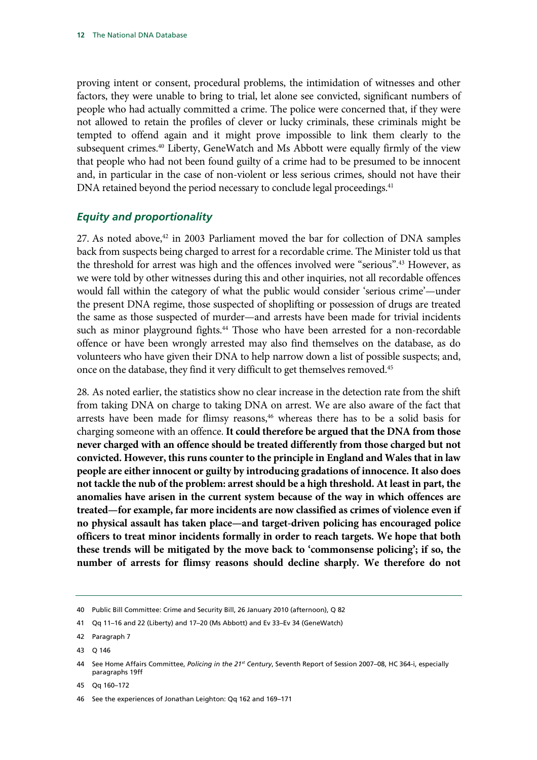proving intent or consent, procedural problems, the intimidation of witnesses and other factors, they were unable to bring to trial, let alone see convicted, significant numbers of people who had actually committed a crime. The police were concerned that, if they were not allowed to retain the profiles of clever or lucky criminals, these criminals might be tempted to offend again and it might prove impossible to link them clearly to the subsequent crimes.40 Liberty, GeneWatch and Ms Abbott were equally firmly of the view that people who had not been found guilty of a crime had to be presumed to be innocent and, in particular in the case of non-violent or less serious crimes, should not have their DNA retained beyond the period necessary to conclude legal proceedings.<sup>41</sup>

#### *Equity and proportionality*

27. As noted above, $42$  in 2003 Parliament moved the bar for collection of DNA samples back from suspects being charged to arrest for a recordable crime. The Minister told us that the threshold for arrest was high and the offences involved were "serious".<sup>43</sup> However, as we were told by other witnesses during this and other inquiries, not all recordable offences would fall within the category of what the public would consider 'serious crime'—under the present DNA regime, those suspected of shoplifting or possession of drugs are treated the same as those suspected of murder—and arrests have been made for trivial incidents such as minor playground fights.<sup>44</sup> Those who have been arrested for a non-recordable offence or have been wrongly arrested may also find themselves on the database, as do volunteers who have given their DNA to help narrow down a list of possible suspects; and, once on the database, they find it very difficult to get themselves removed.<sup>45</sup>

28. As noted earlier, the statistics show no clear increase in the detection rate from the shift from taking DNA on charge to taking DNA on arrest. We are also aware of the fact that arrests have been made for flimsy reasons,<sup>46</sup> whereas there has to be a solid basis for charging someone with an offence. **It could therefore be argued that the DNA from those never charged with an offence should be treated differently from those charged but not convicted. However, this runs counter to the principle in England and Wales that in law people are either innocent or guilty by introducing gradations of innocence. It also does not tackle the nub of the problem: arrest should be a high threshold. At least in part, the anomalies have arisen in the current system because of the way in which offences are treated—for example, far more incidents are now classified as crimes of violence even if no physical assault has taken place—and target-driven policing has encouraged police officers to treat minor incidents formally in order to reach targets. We hope that both these trends will be mitigated by the move back to 'commonsense policing'; if so, the number of arrests for flimsy reasons should decline sharply. We therefore do not** 

43 Q 146

<sup>40</sup> Public Bill Committee: Crime and Security Bill, 26 January 2010 (afternoon), Q 82

<sup>41</sup> Qq 11–16 and 22 (Liberty) and 17–20 (Ms Abbott) and Ev 33–Ev 34 (GeneWatch)

<sup>42</sup> Paragraph 7

<sup>44</sup> See Home Affairs Committee, *Policing in the 21st Century*, Seventh Report of Session 2007–08, HC 364-i, especially paragraphs 19ff

<sup>45</sup> Qq 160–172

<sup>46</sup> See the experiences of Jonathan Leighton: Qq 162 and 169–171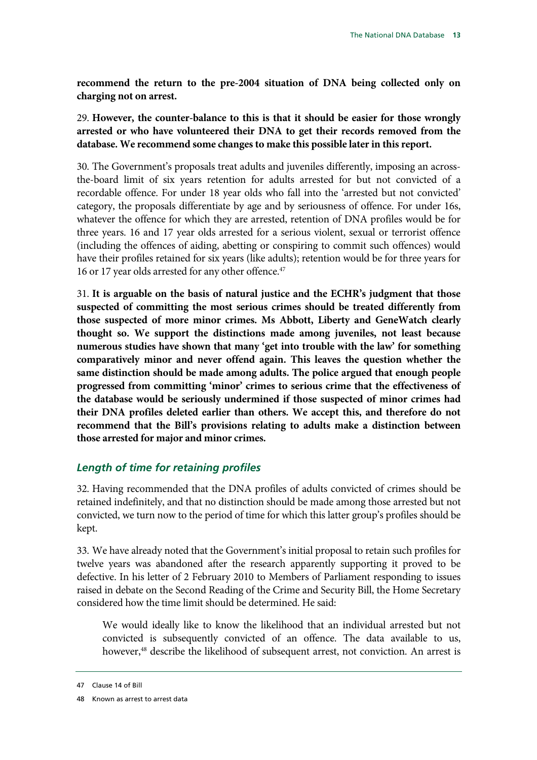**recommend the return to the pre-2004 situation of DNA being collected only on charging not on arrest.**

29. **However, the counter-balance to this is that it should be easier for those wrongly arrested or who have volunteered their DNA to get their records removed from the database. We recommend some changes to make this possible later in this report.**

30. The Government's proposals treat adults and juveniles differently, imposing an acrossthe-board limit of six years retention for adults arrested for but not convicted of a recordable offence. For under 18 year olds who fall into the 'arrested but not convicted' category, the proposals differentiate by age and by seriousness of offence. For under 16s, whatever the offence for which they are arrested, retention of DNA profiles would be for three years. 16 and 17 year olds arrested for a serious violent, sexual or terrorist offence (including the offences of aiding, abetting or conspiring to commit such offences) would have their profiles retained for six years (like adults); retention would be for three years for 16 or 17 year olds arrested for any other offence.<sup>47</sup>

31. **It is arguable on the basis of natural justice and the ECHR's judgment that those suspected of committing the most serious crimes should be treated differently from those suspected of more minor crimes. Ms Abbott, Liberty and GeneWatch clearly thought so. We support the distinctions made among juveniles, not least because numerous studies have shown that many 'get into trouble with the law' for something comparatively minor and never offend again. This leaves the question whether the same distinction should be made among adults. The police argued that enough people progressed from committing 'minor' crimes to serious crime that the effectiveness of the database would be seriously undermined if those suspected of minor crimes had their DNA profiles deleted earlier than others. We accept this, and therefore do not recommend that the Bill's provisions relating to adults make a distinction between those arrested for major and minor crimes.** 

#### *Length of time for retaining profiles*

32. Having recommended that the DNA profiles of adults convicted of crimes should be retained indefinitely, and that no distinction should be made among those arrested but not convicted, we turn now to the period of time for which this latter group's profiles should be kept.

33. We have already noted that the Government's initial proposal to retain such profiles for twelve years was abandoned after the research apparently supporting it proved to be defective. In his letter of 2 February 2010 to Members of Parliament responding to issues raised in debate on the Second Reading of the Crime and Security Bill, the Home Secretary considered how the time limit should be determined. He said:

We would ideally like to know the likelihood that an individual arrested but not convicted is subsequently convicted of an offence. The data available to us, however,<sup>48</sup> describe the likelihood of subsequent arrest, not conviction. An arrest is

<sup>47</sup> Clause 14 of Bill

<sup>48</sup> Known as arrest to arrest data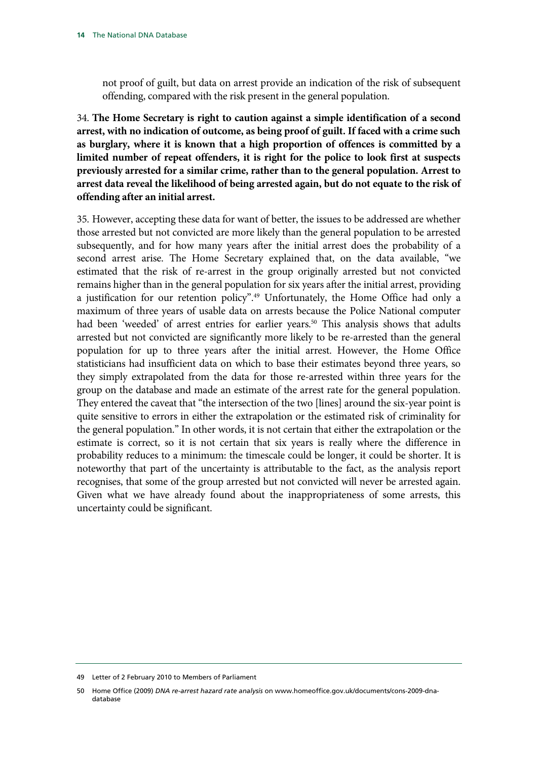not proof of guilt, but data on arrest provide an indication of the risk of subsequent offending, compared with the risk present in the general population.

34. **The Home Secretary is right to caution against a simple identification of a second arrest, with no indication of outcome, as being proof of guilt. If faced with a crime such as burglary, where it is known that a high proportion of offences is committed by a limited number of repeat offenders, it is right for the police to look first at suspects previously arrested for a similar crime, rather than to the general population. Arrest to arrest data reveal the likelihood of being arrested again, but do not equate to the risk of offending after an initial arrest.** 

35. However, accepting these data for want of better, the issues to be addressed are whether those arrested but not convicted are more likely than the general population to be arrested subsequently, and for how many years after the initial arrest does the probability of a second arrest arise. The Home Secretary explained that, on the data available, "we estimated that the risk of re-arrest in the group originally arrested but not convicted remains higher than in the general population for six years after the initial arrest, providing a justification for our retention policy".<sup>49</sup> Unfortunately, the Home Office had only a maximum of three years of usable data on arrests because the Police National computer had been 'weeded' of arrest entries for earlier years.<sup>50</sup> This analysis shows that adults arrested but not convicted are significantly more likely to be re-arrested than the general population for up to three years after the initial arrest. However, the Home Office statisticians had insufficient data on which to base their estimates beyond three years, so they simply extrapolated from the data for those re-arrested within three years for the group on the database and made an estimate of the arrest rate for the general population. They entered the caveat that "the intersection of the two [lines] around the six-year point is quite sensitive to errors in either the extrapolation or the estimated risk of criminality for the general population." In other words, it is not certain that either the extrapolation or the estimate is correct, so it is not certain that six years is really where the difference in probability reduces to a minimum: the timescale could be longer, it could be shorter. It is noteworthy that part of the uncertainty is attributable to the fact, as the analysis report recognises, that some of the group arrested but not convicted will never be arrested again. Given what we have already found about the inappropriateness of some arrests, this uncertainty could be significant.

<sup>49</sup> Letter of 2 February 2010 to Members of Parliament

<sup>50</sup> Home Office (2009) *DNA re-arrest hazard rate analysis* on www.homeoffice.gov.uk/documents/cons-2009-dnadatabase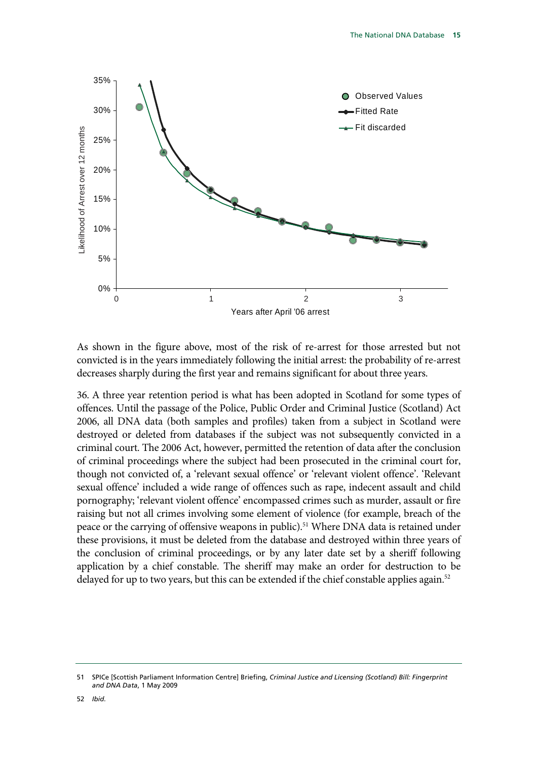

As shown in the figure above, most of the risk of re-arrest for those arrested but not convicted is in the years immediately following the initial arrest: the probability of re-arrest decreases sharply during the first year and remains significant for about three years.

36. A three year retention period is what has been adopted in Scotland for some types of offences. Until the passage of the Police, Public Order and Criminal Justice (Scotland) Act 2006, all DNA data (both samples and profiles) taken from a subject in Scotland were destroyed or deleted from databases if the subject was not subsequently convicted in a criminal court. The 2006 Act, however, permitted the retention of data after the conclusion of criminal proceedings where the subject had been prosecuted in the criminal court for, though not convicted of, a 'relevant sexual offence' or 'relevant violent offence'. 'Relevant sexual offence' included a wide range of offences such as rape, indecent assault and child pornography; 'relevant violent offence' encompassed crimes such as murder, assault or fire raising but not all crimes involving some element of violence (for example, breach of the peace or the carrying of offensive weapons in public).<sup>51</sup> Where DNA data is retained under these provisions, it must be deleted from the database and destroyed within three years of the conclusion of criminal proceedings, or by any later date set by a sheriff following application by a chief constable. The sheriff may make an order for destruction to be delayed for up to two years, but this can be extended if the chief constable applies again.<sup>52</sup>

<sup>51</sup> SPICe [Scottish Parliament Information Centre] Briefing, *Criminal Justice and Licensing (Scotland) Bill: Fingerprint and DNA Data*, 1 May 2009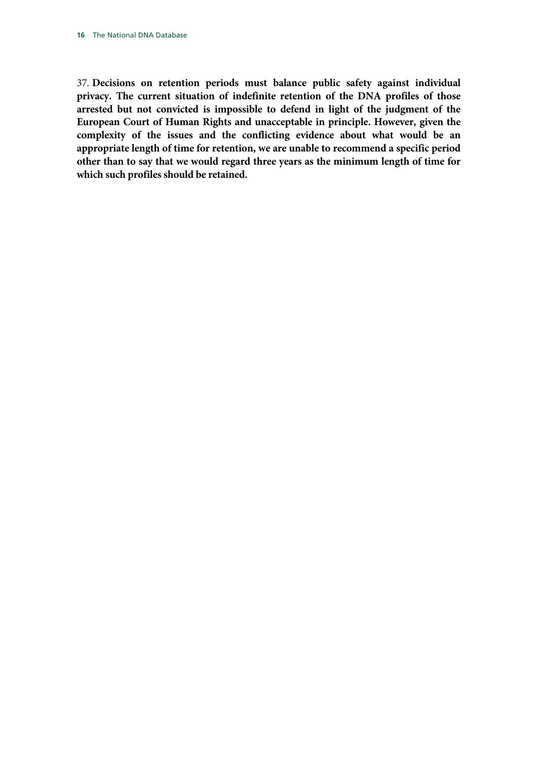37. **Decisions on retention periods must balance public safety against individual privacy. The current situation of indefinite retention of the DNA profiles of those arrested but not convicted is impossible to defend in light of the judgment of the European Court of Human Rights and unacceptable in principle. However, given the complexity of the issues and the conflicting evidence about what would be an appropriate length of time for retention, we are unable to recommend a specific period other than to say that we would regard three years as the minimum length of time for which such profiles should be retained.**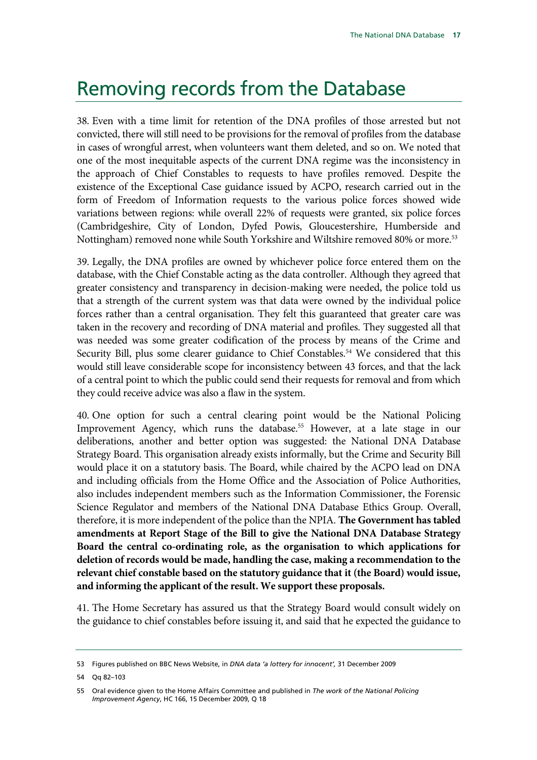### Removing records from the Database

38. Even with a time limit for retention of the DNA profiles of those arrested but not convicted, there will still need to be provisions for the removal of profiles from the database in cases of wrongful arrest, when volunteers want them deleted, and so on. We noted that one of the most inequitable aspects of the current DNA regime was the inconsistency in the approach of Chief Constables to requests to have profiles removed. Despite the existence of the Exceptional Case guidance issued by ACPO, research carried out in the form of Freedom of Information requests to the various police forces showed wide variations between regions: while overall 22% of requests were granted, six police forces (Cambridgeshire, City of London, Dyfed Powis, Gloucestershire, Humberside and Nottingham) removed none while South Yorkshire and Wiltshire removed 80% or more.<sup>53</sup>

39. Legally, the DNA profiles are owned by whichever police force entered them on the database, with the Chief Constable acting as the data controller. Although they agreed that greater consistency and transparency in decision-making were needed, the police told us that a strength of the current system was that data were owned by the individual police forces rather than a central organisation. They felt this guaranteed that greater care was taken in the recovery and recording of DNA material and profiles. They suggested all that was needed was some greater codification of the process by means of the Crime and Security Bill, plus some clearer guidance to Chief Constables.<sup>54</sup> We considered that this would still leave considerable scope for inconsistency between 43 forces, and that the lack of a central point to which the public could send their requests for removal and from which they could receive advice was also a flaw in the system.

40. One option for such a central clearing point would be the National Policing Improvement Agency, which runs the database.<sup>55</sup> However, at a late stage in our deliberations, another and better option was suggested: the National DNA Database Strategy Board. This organisation already exists informally, but the Crime and Security Bill would place it on a statutory basis. The Board, while chaired by the ACPO lead on DNA and including officials from the Home Office and the Association of Police Authorities, also includes independent members such as the Information Commissioner, the Forensic Science Regulator and members of the National DNA Database Ethics Group. Overall, therefore, it is more independent of the police than the NPIA. **The Government has tabled amendments at Report Stage of the Bill to give the National DNA Database Strategy Board the central co-ordinating role, as the organisation to which applications for deletion of records would be made, handling the case, making a recommendation to the relevant chief constable based on the statutory guidance that it (the Board) would issue, and informing the applicant of the result. We support these proposals.**

41. The Home Secretary has assured us that the Strategy Board would consult widely on the guidance to chief constables before issuing it, and said that he expected the guidance to

<sup>53</sup> Figures published on BBC News Website, in *DNA data 'a lottery for innocent',* 31 December 2009

<sup>54</sup> Qq 82–103

<sup>55</sup> Oral evidence given to the Home Affairs Committee and published in *The work of the National Policing Improvement Agency*, HC 166, 15 December 2009, Q 18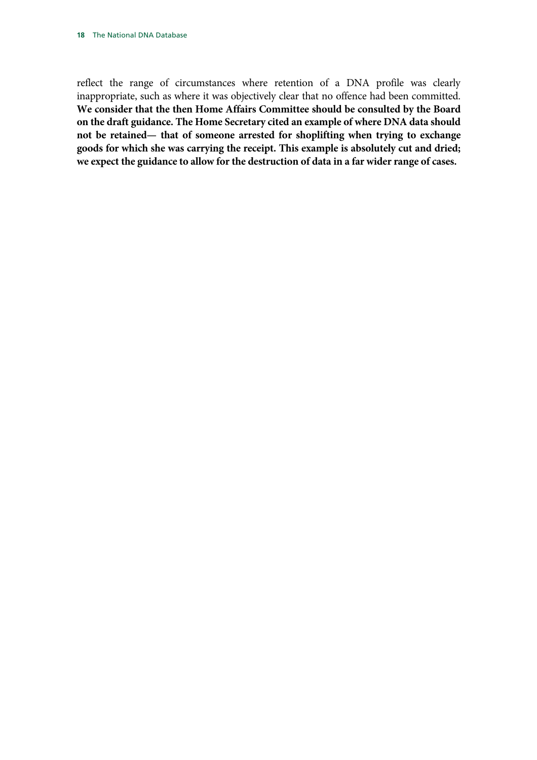reflect the range of circumstances where retention of a DNA profile was clearly inappropriate, such as where it was objectively clear that no offence had been committed. **We consider that the then Home Affairs Committee should be consulted by the Board on the draft guidance. The Home Secretary cited an example of where DNA data should not be retained— that of someone arrested for shoplifting when trying to exchange goods for which she was carrying the receipt. This example is absolutely cut and dried; we expect the guidance to allow for the destruction of data in a far wider range of cases.**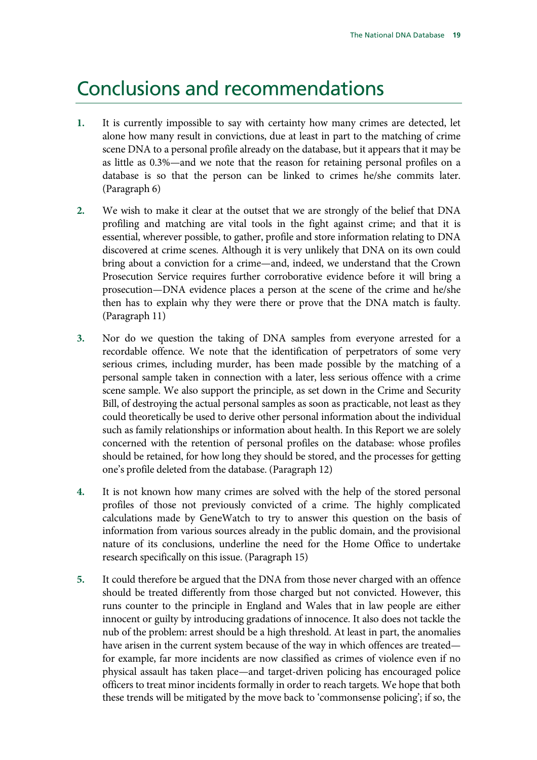### Conclusions and recommendations

- **1.** It is currently impossible to say with certainty how many crimes are detected, let alone how many result in convictions, due at least in part to the matching of crime scene DNA to a personal profile already on the database, but it appears that it may be as little as 0.3%—and we note that the reason for retaining personal profiles on a database is so that the person can be linked to crimes he/she commits later. (Paragraph 6)
- **2.** We wish to make it clear at the outset that we are strongly of the belief that DNA profiling and matching are vital tools in the fight against crime; and that it is essential, wherever possible, to gather, profile and store information relating to DNA discovered at crime scenes. Although it is very unlikely that DNA on its own could bring about a conviction for a crime—and, indeed, we understand that the Crown Prosecution Service requires further corroborative evidence before it will bring a prosecution—DNA evidence places a person at the scene of the crime and he/she then has to explain why they were there or prove that the DNA match is faulty. (Paragraph 11)
- **3.** Nor do we question the taking of DNA samples from everyone arrested for a recordable offence. We note that the identification of perpetrators of some very serious crimes, including murder, has been made possible by the matching of a personal sample taken in connection with a later, less serious offence with a crime scene sample. We also support the principle, as set down in the Crime and Security Bill, of destroying the actual personal samples as soon as practicable, not least as they could theoretically be used to derive other personal information about the individual such as family relationships or information about health. In this Report we are solely concerned with the retention of personal profiles on the database: whose profiles should be retained, for how long they should be stored, and the processes for getting one's profile deleted from the database. (Paragraph 12)
- **4.** It is not known how many crimes are solved with the help of the stored personal profiles of those not previously convicted of a crime. The highly complicated calculations made by GeneWatch to try to answer this question on the basis of information from various sources already in the public domain, and the provisional nature of its conclusions, underline the need for the Home Office to undertake research specifically on this issue. (Paragraph 15)
- **5.** It could therefore be argued that the DNA from those never charged with an offence should be treated differently from those charged but not convicted. However, this runs counter to the principle in England and Wales that in law people are either innocent or guilty by introducing gradations of innocence. It also does not tackle the nub of the problem: arrest should be a high threshold. At least in part, the anomalies have arisen in the current system because of the way in which offences are treated for example, far more incidents are now classified as crimes of violence even if no physical assault has taken place—and target-driven policing has encouraged police officers to treat minor incidents formally in order to reach targets. We hope that both these trends will be mitigated by the move back to 'commonsense policing'; if so, the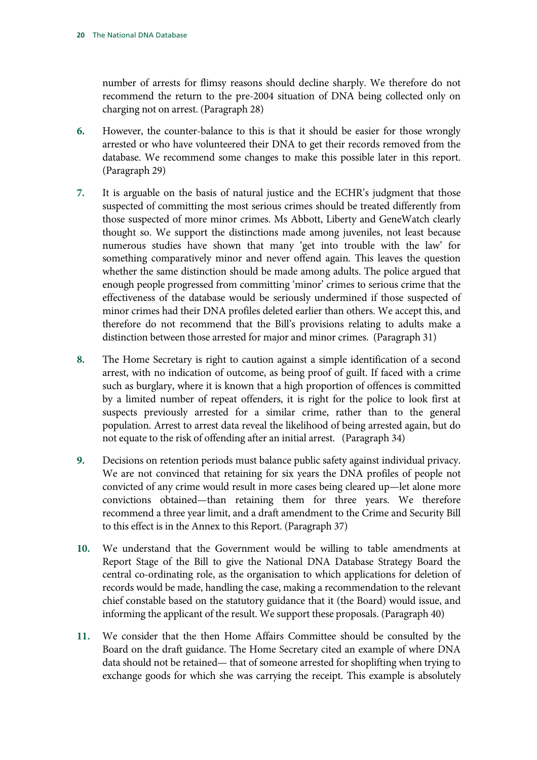number of arrests for flimsy reasons should decline sharply. We therefore do not recommend the return to the pre-2004 situation of DNA being collected only on charging not on arrest. (Paragraph 28)

- **6.** However, the counter-balance to this is that it should be easier for those wrongly arrested or who have volunteered their DNA to get their records removed from the database. We recommend some changes to make this possible later in this report. (Paragraph 29)
- **7.** It is arguable on the basis of natural justice and the ECHR's judgment that those suspected of committing the most serious crimes should be treated differently from those suspected of more minor crimes. Ms Abbott, Liberty and GeneWatch clearly thought so. We support the distinctions made among juveniles, not least because numerous studies have shown that many 'get into trouble with the law' for something comparatively minor and never offend again. This leaves the question whether the same distinction should be made among adults. The police argued that enough people progressed from committing 'minor' crimes to serious crime that the effectiveness of the database would be seriously undermined if those suspected of minor crimes had their DNA profiles deleted earlier than others. We accept this, and therefore do not recommend that the Bill's provisions relating to adults make a distinction between those arrested for major and minor crimes. (Paragraph 31)
- **8.** The Home Secretary is right to caution against a simple identification of a second arrest, with no indication of outcome, as being proof of guilt. If faced with a crime such as burglary, where it is known that a high proportion of offences is committed by a limited number of repeat offenders, it is right for the police to look first at suspects previously arrested for a similar crime, rather than to the general population. Arrest to arrest data reveal the likelihood of being arrested again, but do not equate to the risk of offending after an initial arrest. (Paragraph 34)
- **9.** Decisions on retention periods must balance public safety against individual privacy. We are not convinced that retaining for six years the DNA profiles of people not convicted of any crime would result in more cases being cleared up—let alone more convictions obtained—than retaining them for three years. We therefore recommend a three year limit, and a draft amendment to the Crime and Security Bill to this effect is in the Annex to this Report. (Paragraph 37)
- **10.** We understand that the Government would be willing to table amendments at Report Stage of the Bill to give the National DNA Database Strategy Board the central co-ordinating role, as the organisation to which applications for deletion of records would be made, handling the case, making a recommendation to the relevant chief constable based on the statutory guidance that it (the Board) would issue, and informing the applicant of the result. We support these proposals. (Paragraph 40)
- **11.** We consider that the then Home Affairs Committee should be consulted by the Board on the draft guidance. The Home Secretary cited an example of where DNA data should not be retained— that of someone arrested for shoplifting when trying to exchange goods for which she was carrying the receipt. This example is absolutely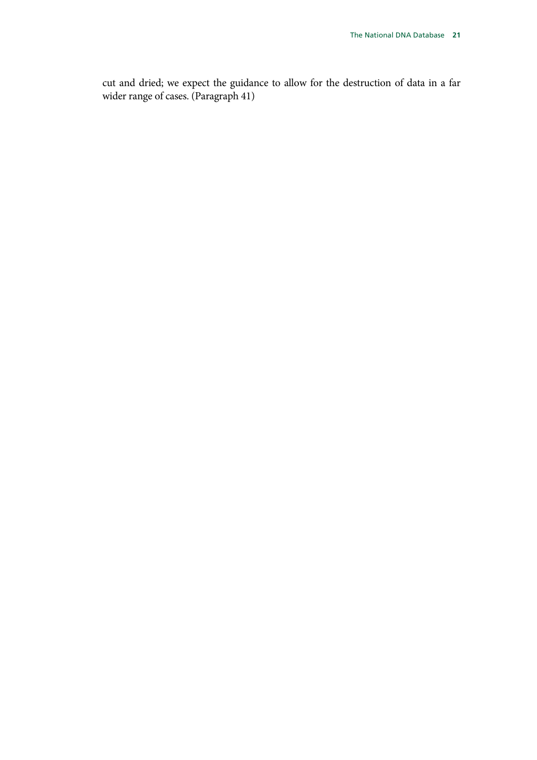cut and dried; we expect the guidance to allow for the destruction of data in a far wider range of cases. (Paragraph 41)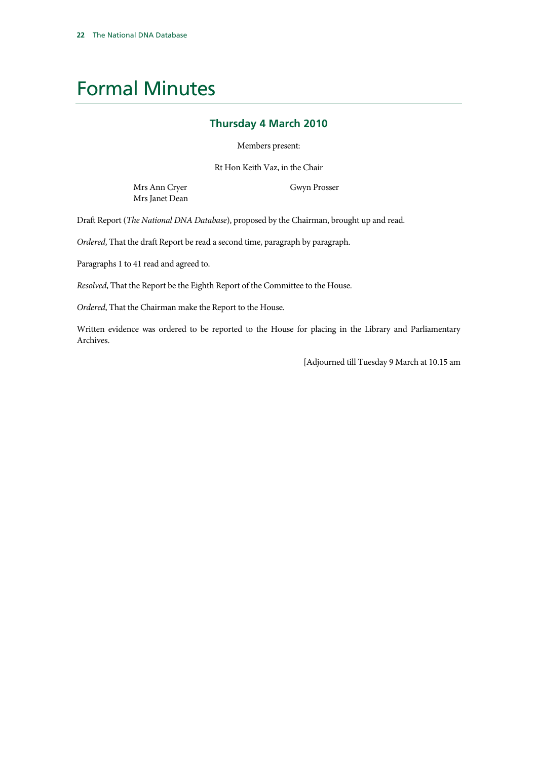# Formal Minutes

#### **Thursday 4 March 2010**

Members present:

Rt Hon Keith Vaz, in the Chair

Mrs Ann Cryer Mrs Janet Dean Gwyn Prosser

Draft Report (*The National DNA Database*), proposed by the Chairman, brought up and read.

*Ordered*, That the draft Report be read a second time, paragraph by paragraph.

Paragraphs 1 to 41 read and agreed to.

*Resolved*, That the Report be the Eighth Report of the Committee to the House.

*Ordered*, That the Chairman make the Report to the House.

Written evidence was ordered to be reported to the House for placing in the Library and Parliamentary Archives.

[Adjourned till Tuesday 9 March at 10.15 am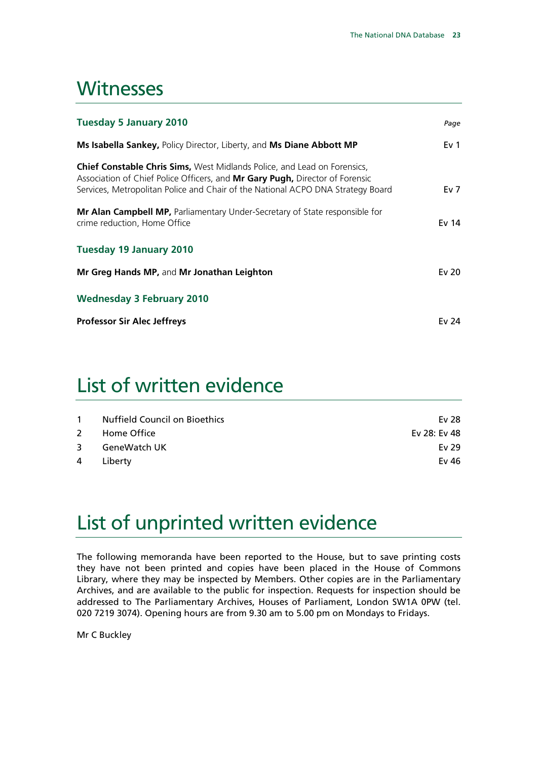### **Witnesses**

| Tuesday 5 January 2010                                                                                                                                                                                                                             | Page             |
|----------------------------------------------------------------------------------------------------------------------------------------------------------------------------------------------------------------------------------------------------|------------------|
| Ms Isabella Sankey, Policy Director, Liberty, and Ms Diane Abbott MP                                                                                                                                                                               | Ev <sub>1</sub>  |
| <b>Chief Constable Chris Sims, West Midlands Police, and Lead on Forensics,</b><br>Association of Chief Police Officers, and Mr Gary Pugh, Director of Forensic<br>Services, Metropolitan Police and Chair of the National ACPO DNA Strategy Board | Ev <sub>7</sub>  |
| Mr Alan Campbell MP, Parliamentary Under-Secretary of State responsible for<br>crime reduction, Home Office                                                                                                                                        | Ev <sub>14</sub> |
| Tuesday 19 January 2010                                                                                                                                                                                                                            |                  |
| Mr Greg Hands MP, and Mr Jonathan Leighton                                                                                                                                                                                                         | Ev <sub>20</sub> |
| <b>Wednesday 3 February 2010</b>                                                                                                                                                                                                                   |                  |
| <b>Professor Sir Alec Jeffreys</b>                                                                                                                                                                                                                 | Ev $24$          |

## List of written evidence

| 1 Nuffield Council on Bioethics | Ev 28        |
|---------------------------------|--------------|
| 2 Home Office                   | Ev 28: Ev 48 |
| 3 GeneWatch UK                  | Ev 29        |
| 4 Liberty                       | Ev 46        |
|                                 |              |

# List of unprinted written evidence

The following memoranda have been reported to the House, but to save printing costs they have not been printed and copies have been placed in the House of Commons Library, where they may be inspected by Members. Other copies are in the Parliamentary Archives, and are available to the public for inspection. Requests for inspection should be addressed to The Parliamentary Archives, Houses of Parliament, London SW1A 0PW (tel. 020 7219 3074). Opening hours are from 9.30 am to 5.00 pm on Mondays to Fridays.

Mr C Buckley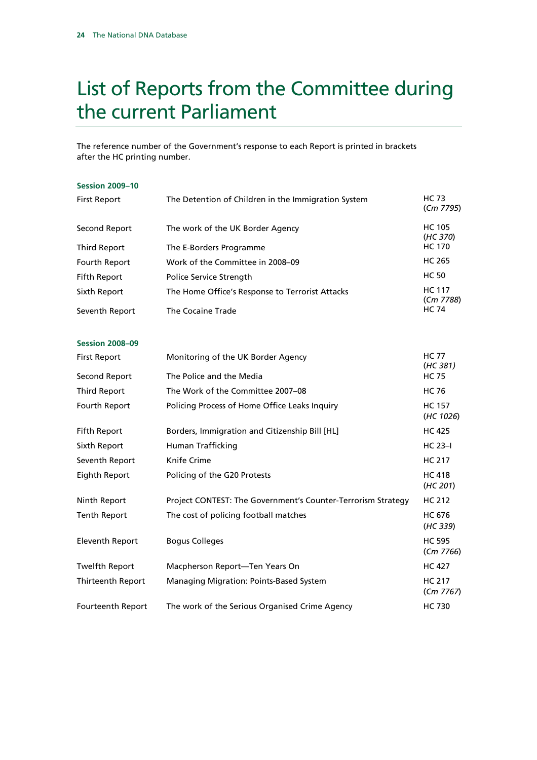# List of Reports from the Committee during the current Parliament

The reference number of the Government's response to each Report is printed in brackets after the HC printing number.

| <b>Session 2009-10</b> |                                                              |                            |
|------------------------|--------------------------------------------------------------|----------------------------|
| <b>First Report</b>    | The Detention of Children in the Immigration System          | <b>HC 73</b><br>(Cm 7795)  |
| Second Report          | The work of the UK Border Agency                             | <b>HC 105</b><br>(HC 370)  |
| <b>Third Report</b>    | The E-Borders Programme                                      | <b>HC 170</b>              |
| Fourth Report          | Work of the Committee in 2008-09                             | <b>HC 265</b>              |
| <b>Fifth Report</b>    | Police Service Strength                                      | <b>HC 50</b>               |
| Sixth Report           | The Home Office's Response to Terrorist Attacks              | <b>HC 117</b>              |
| Seventh Report         | <b>The Cocaine Trade</b>                                     | (Cm 7788)<br><b>HC 74</b>  |
| <b>Session 2008-09</b> |                                                              |                            |
| <b>First Report</b>    | Monitoring of the UK Border Agency                           | HC 77<br>(HC 381)          |
| Second Report          | The Police and the Media                                     | <b>HC 75</b>               |
| Third Report           | The Work of the Committee 2007-08                            | <b>HC 76</b>               |
| Fourth Report          | Policing Process of Home Office Leaks Inquiry                | <b>HC 157</b><br>(HC 1026) |
| Fifth Report           | Borders, Immigration and Citizenship Bill [HL]               | <b>HC 425</b>              |
| Sixth Report           | Human Trafficking                                            | $HC 23-1$                  |
| Seventh Report         | Knife Crime                                                  | <b>HC 217</b>              |
| <b>Eighth Report</b>   | Policing of the G20 Protests                                 | <b>HC 418</b><br>(HC 201)  |
| Ninth Report           | Project CONTEST: The Government's Counter-Terrorism Strategy | HC 212                     |
| <b>Tenth Report</b>    | The cost of policing football matches                        | <b>HC 676</b><br>(HC 339)  |
| <b>Eleventh Report</b> | <b>Bogus Colleges</b>                                        | <b>HC 595</b><br>(Cm 7766) |
| <b>Twelfth Report</b>  | Macpherson Report-Ten Years On                               | <b>HC 427</b>              |
| Thirteenth Report      | Managing Migration: Points-Based System                      | <b>HC 217</b><br>(Cm 7767) |

Fourteenth Report The work of the Serious Organised Crime Agency Free The 730